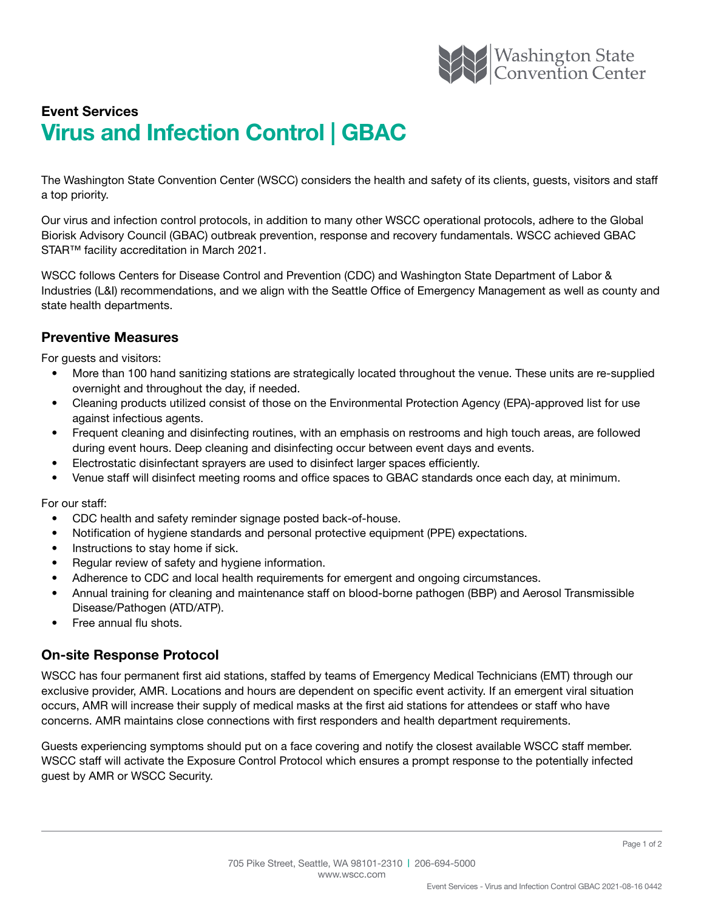

# Virus and Infection Control | GBAC Event Services

The Washington State Convention Center (WSCC) considers the health and safety of its clients, guests, visitors and staff a top priority.

Our virus and infection control protocols, in addition to many other WSCC operational protocols, adhere to the Global Biorisk Advisory Council (GBAC) outbreak prevention, response and recovery fundamentals. WSCC achieved GBAC STAR™ facility accreditation in March 2021.

WSCC follows Centers for Disease Control and Prevention (CDC) and Washington State Department of Labor & Industries (L&I) recommendations, and we align with the Seattle Office of Emergency Management as well as county and state health departments.

#### Preventive Measures

For guests and visitors:

- More than 100 hand sanitizing stations are strategically located throughout the venue. These units are re-supplied overnight and throughout the day, if needed.
- Cleaning products utilized consist of those on the Environmental Protection Agency (EPA)-approved list for use against infectious agents.
- Frequent cleaning and disinfecting routines, with an emphasis on restrooms and high touch areas, are followed during event hours. Deep cleaning and disinfecting occur between event days and events.
- Electrostatic disinfectant sprayers are used to disinfect larger spaces efficiently.
- Venue staff will disinfect meeting rooms and office spaces to GBAC standards once each day, at minimum.

For our staff:

- CDC health and safety reminder signage posted back-of-house.
- Notification of hygiene standards and personal protective equipment (PPE) expectations.
- Instructions to stay home if sick.
- Regular review of safety and hygiene information.
- Adherence to CDC and local health requirements for emergent and ongoing circumstances.
- Annual training for cleaning and maintenance staff on blood-borne pathogen (BBP) and Aerosol Transmissible Disease/Pathogen (ATD/ATP).
- Free annual flu shots.

#### On-site Response Protocol

WSCC has four permanent first aid stations, staffed by teams of Emergency Medical Technicians (EMT) through our exclusive provider, AMR. Locations and hours are dependent on specific event activity. If an emergent viral situation occurs, AMR will increase their supply of medical masks at the first aid stations for attendees or staff who have concerns. AMR maintains close connections with first responders and health department requirements.

Guests experiencing symptoms should put on a face covering and notify the closest available WSCC staff member. WSCC staff will activate the Exposure Control Protocol which ensures a prompt response to the potentially infected guest by AMR or WSCC Security.